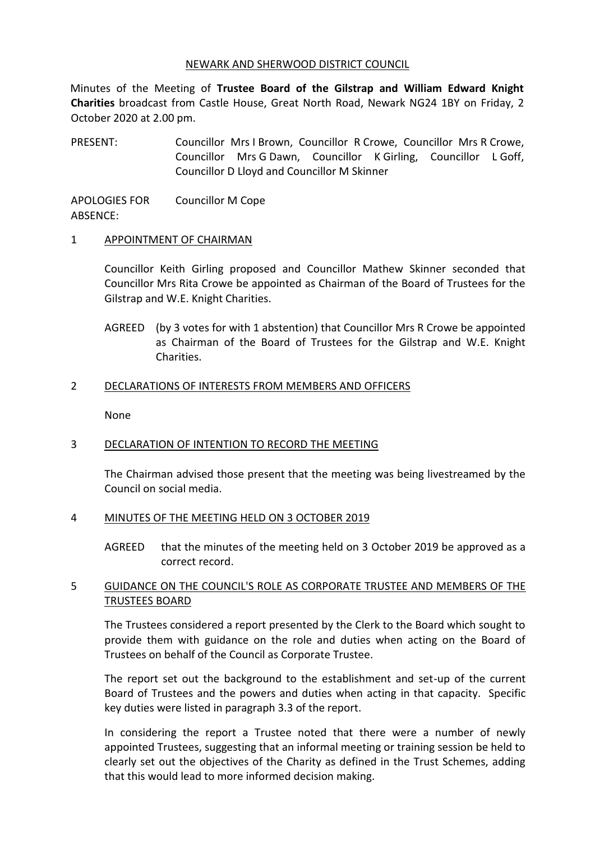### NEWARK AND SHERWOOD DISTRICT COUNCIL

Minutes of the Meeting of **Trustee Board of the Gilstrap and William Edward Knight Charities** broadcast from Castle House, Great North Road, Newark NG24 1BY on Friday, 2 October 2020 at 2.00 pm.

PRESENT: Councillor Mrs I Brown, Councillor R Crowe, Councillor Mrs R Crowe, Councillor Mrs G Dawn, Councillor K Girling, Councillor L Goff, Councillor D Lloyd and Councillor M Skinner

APOLOGIES FOR ABSENCE: Councillor M Cope

### 1 APPOINTMENT OF CHAIRMAN

Councillor Keith Girling proposed and Councillor Mathew Skinner seconded that Councillor Mrs Rita Crowe be appointed as Chairman of the Board of Trustees for the Gilstrap and W.E. Knight Charities.

AGREED (by 3 votes for with 1 abstention) that Councillor Mrs R Crowe be appointed as Chairman of the Board of Trustees for the Gilstrap and W.E. Knight Charities.

### 2 DECLARATIONS OF INTERESTS FROM MEMBERS AND OFFICERS

None

### 3 DECLARATION OF INTENTION TO RECORD THE MEETING

The Chairman advised those present that the meeting was being livestreamed by the Council on social media.

### 4 MINUTES OF THE MEETING HELD ON 3 OCTOBER 2019

AGREED that the minutes of the meeting held on 3 October 2019 be approved as a correct record.

# 5 GUIDANCE ON THE COUNCIL'S ROLE AS CORPORATE TRUSTEE AND MEMBERS OF THE TRUSTEES BOARD

The Trustees considered a report presented by the Clerk to the Board which sought to provide them with guidance on the role and duties when acting on the Board of Trustees on behalf of the Council as Corporate Trustee.

The report set out the background to the establishment and set-up of the current Board of Trustees and the powers and duties when acting in that capacity. Specific key duties were listed in paragraph 3.3 of the report.

In considering the report a Trustee noted that there were a number of newly appointed Trustees, suggesting that an informal meeting or training session be held to clearly set out the objectives of the Charity as defined in the Trust Schemes, adding that this would lead to more informed decision making.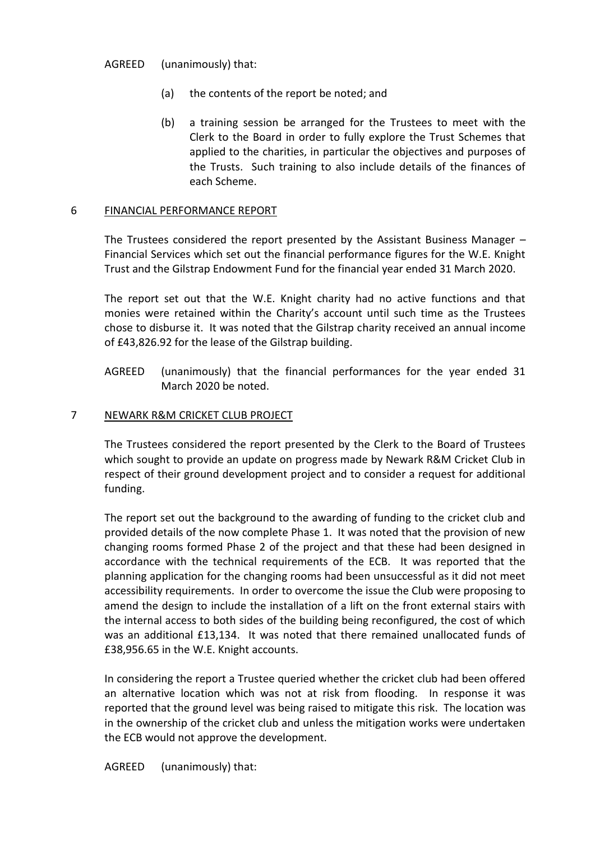AGREED (unanimously) that:

- (a) the contents of the report be noted; and
- (b) a training session be arranged for the Trustees to meet with the Clerk to the Board in order to fully explore the Trust Schemes that applied to the charities, in particular the objectives and purposes of the Trusts. Such training to also include details of the finances of each Scheme.

# 6 FINANCIAL PERFORMANCE REPORT

The Trustees considered the report presented by the Assistant Business Manager – Financial Services which set out the financial performance figures for the W.E. Knight Trust and the Gilstrap Endowment Fund for the financial year ended 31 March 2020.

The report set out that the W.E. Knight charity had no active functions and that monies were retained within the Charity's account until such time as the Trustees chose to disburse it. It was noted that the Gilstrap charity received an annual income of £43,826.92 for the lease of the Gilstrap building.

AGREED (unanimously) that the financial performances for the year ended 31 March 2020 be noted.

# 7 NEWARK R&M CRICKET CLUB PROJECT

The Trustees considered the report presented by the Clerk to the Board of Trustees which sought to provide an update on progress made by Newark R&M Cricket Club in respect of their ground development project and to consider a request for additional funding.

The report set out the background to the awarding of funding to the cricket club and provided details of the now complete Phase 1. It was noted that the provision of new changing rooms formed Phase 2 of the project and that these had been designed in accordance with the technical requirements of the ECB. It was reported that the planning application for the changing rooms had been unsuccessful as it did not meet accessibility requirements. In order to overcome the issue the Club were proposing to amend the design to include the installation of a lift on the front external stairs with the internal access to both sides of the building being reconfigured, the cost of which was an additional £13,134. It was noted that there remained unallocated funds of £38,956.65 in the W.E. Knight accounts.

In considering the report a Trustee queried whether the cricket club had been offered an alternative location which was not at risk from flooding. In response it was reported that the ground level was being raised to mitigate this risk. The location was in the ownership of the cricket club and unless the mitigation works were undertaken the ECB would not approve the development.

AGREED (unanimously) that: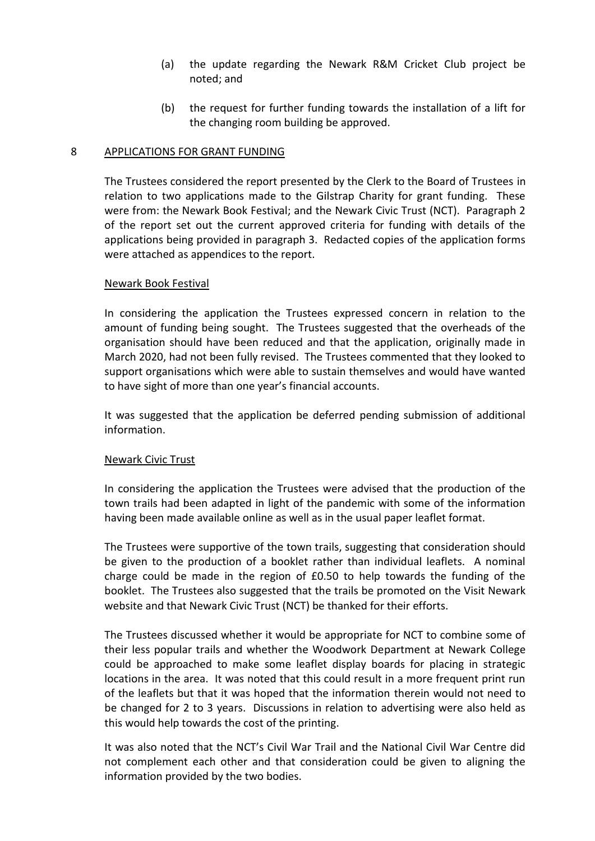- (a) the update regarding the Newark R&M Cricket Club project be noted; and
- (b) the request for further funding towards the installation of a lift for the changing room building be approved.

### 8 APPLICATIONS FOR GRANT FUNDING

The Trustees considered the report presented by the Clerk to the Board of Trustees in relation to two applications made to the Gilstrap Charity for grant funding. These were from: the Newark Book Festival; and the Newark Civic Trust (NCT). Paragraph 2 of the report set out the current approved criteria for funding with details of the applications being provided in paragraph 3. Redacted copies of the application forms were attached as appendices to the report.

### Newark Book Festival

In considering the application the Trustees expressed concern in relation to the amount of funding being sought. The Trustees suggested that the overheads of the organisation should have been reduced and that the application, originally made in March 2020, had not been fully revised. The Trustees commented that they looked to support organisations which were able to sustain themselves and would have wanted to have sight of more than one year's financial accounts.

It was suggested that the application be deferred pending submission of additional information.

### Newark Civic Trust

In considering the application the Trustees were advised that the production of the town trails had been adapted in light of the pandemic with some of the information having been made available online as well as in the usual paper leaflet format.

The Trustees were supportive of the town trails, suggesting that consideration should be given to the production of a booklet rather than individual leaflets. A nominal charge could be made in the region of £0.50 to help towards the funding of the booklet. The Trustees also suggested that the trails be promoted on the Visit Newark website and that Newark Civic Trust (NCT) be thanked for their efforts.

The Trustees discussed whether it would be appropriate for NCT to combine some of their less popular trails and whether the Woodwork Department at Newark College could be approached to make some leaflet display boards for placing in strategic locations in the area. It was noted that this could result in a more frequent print run of the leaflets but that it was hoped that the information therein would not need to be changed for 2 to 3 years. Discussions in relation to advertising were also held as this would help towards the cost of the printing.

It was also noted that the NCT's Civil War Trail and the National Civil War Centre did not complement each other and that consideration could be given to aligning the information provided by the two bodies.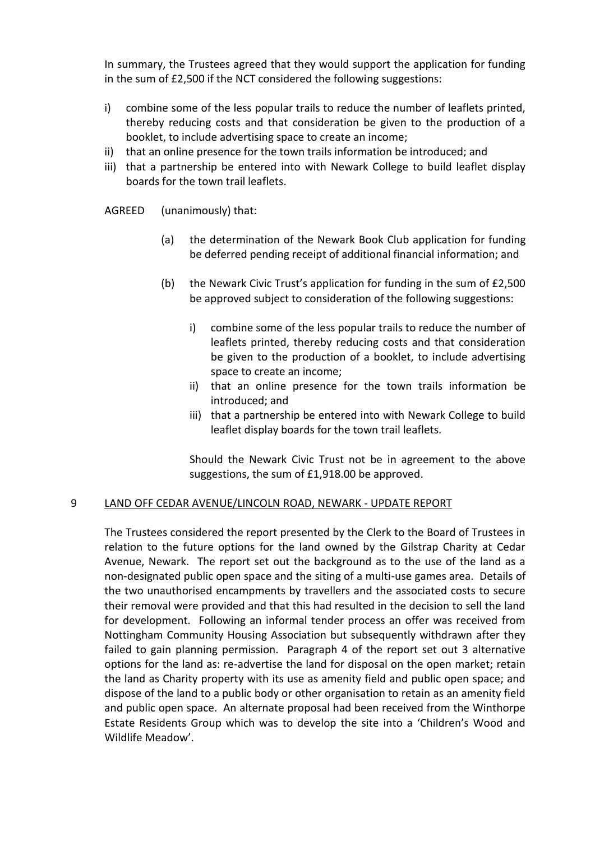In summary, the Trustees agreed that they would support the application for funding in the sum of £2,500 if the NCT considered the following suggestions:

- i) combine some of the less popular trails to reduce the number of leaflets printed, thereby reducing costs and that consideration be given to the production of a booklet, to include advertising space to create an income;
- ii) that an online presence for the town trails information be introduced; and
- iii) that a partnership be entered into with Newark College to build leaflet display boards for the town trail leaflets.

AGREED (unanimously) that:

- (a) the determination of the Newark Book Club application for funding be deferred pending receipt of additional financial information; and
- (b) the Newark Civic Trust's application for funding in the sum of £2,500 be approved subject to consideration of the following suggestions:
	- i) combine some of the less popular trails to reduce the number of leaflets printed, thereby reducing costs and that consideration be given to the production of a booklet, to include advertising space to create an income;
	- ii) that an online presence for the town trails information be introduced; and
	- iii) that a partnership be entered into with Newark College to build leaflet display boards for the town trail leaflets.

Should the Newark Civic Trust not be in agreement to the above suggestions, the sum of £1,918.00 be approved.

# 9 LAND OFF CEDAR AVENUE/LINCOLN ROAD, NEWARK - UPDATE REPORT

The Trustees considered the report presented by the Clerk to the Board of Trustees in relation to the future options for the land owned by the Gilstrap Charity at Cedar Avenue, Newark. The report set out the background as to the use of the land as a non-designated public open space and the siting of a multi-use games area. Details of the two unauthorised encampments by travellers and the associated costs to secure their removal were provided and that this had resulted in the decision to sell the land for development. Following an informal tender process an offer was received from Nottingham Community Housing Association but subsequently withdrawn after they failed to gain planning permission. Paragraph 4 of the report set out 3 alternative options for the land as: re-advertise the land for disposal on the open market; retain the land as Charity property with its use as amenity field and public open space; and dispose of the land to a public body or other organisation to retain as an amenity field and public open space. An alternate proposal had been received from the Winthorpe Estate Residents Group which was to develop the site into a 'Children's Wood and Wildlife Meadow'.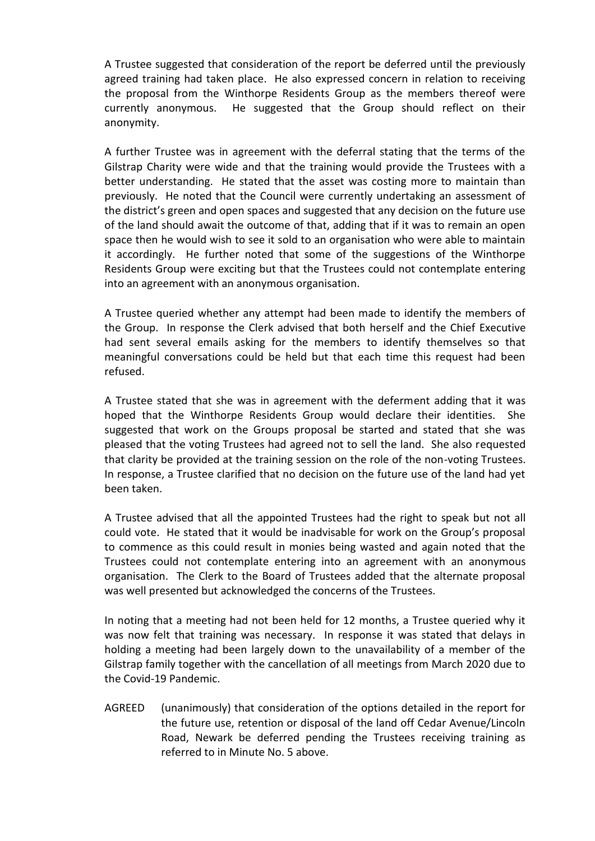A Trustee suggested that consideration of the report be deferred until the previously agreed training had taken place. He also expressed concern in relation to receiving the proposal from the Winthorpe Residents Group as the members thereof were currently anonymous. He suggested that the Group should reflect on their anonymity.

A further Trustee was in agreement with the deferral stating that the terms of the Gilstrap Charity were wide and that the training would provide the Trustees with a better understanding. He stated that the asset was costing more to maintain than previously. He noted that the Council were currently undertaking an assessment of the district's green and open spaces and suggested that any decision on the future use of the land should await the outcome of that, adding that if it was to remain an open space then he would wish to see it sold to an organisation who were able to maintain it accordingly. He further noted that some of the suggestions of the Winthorpe Residents Group were exciting but that the Trustees could not contemplate entering into an agreement with an anonymous organisation.

A Trustee queried whether any attempt had been made to identify the members of the Group. In response the Clerk advised that both herself and the Chief Executive had sent several emails asking for the members to identify themselves so that meaningful conversations could be held but that each time this request had been refused.

A Trustee stated that she was in agreement with the deferment adding that it was hoped that the Winthorpe Residents Group would declare their identities. She suggested that work on the Groups proposal be started and stated that she was pleased that the voting Trustees had agreed not to sell the land. She also requested that clarity be provided at the training session on the role of the non-voting Trustees. In response, a Trustee clarified that no decision on the future use of the land had yet been taken.

A Trustee advised that all the appointed Trustees had the right to speak but not all could vote. He stated that it would be inadvisable for work on the Group's proposal to commence as this could result in monies being wasted and again noted that the Trustees could not contemplate entering into an agreement with an anonymous organisation. The Clerk to the Board of Trustees added that the alternate proposal was well presented but acknowledged the concerns of the Trustees.

In noting that a meeting had not been held for 12 months, a Trustee queried why it was now felt that training was necessary. In response it was stated that delays in holding a meeting had been largely down to the unavailability of a member of the Gilstrap family together with the cancellation of all meetings from March 2020 due to the Covid-19 Pandemic.

AGREED (unanimously) that consideration of the options detailed in the report for the future use, retention or disposal of the land off Cedar Avenue/Lincoln Road, Newark be deferred pending the Trustees receiving training as referred to in Minute No. 5 above.